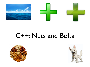

### C++: Nuts and Bolts



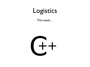## Logistics

This week…

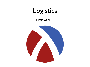## Logistics

#### Next week…

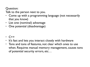#### Question:

Talk to the person next to you.

- Come up with a programming language (not necessarily that you know)
- List one (nominal) advantage
- One potential (disadvantage)

- C++
- It's fast and lets you interact closely with hardware
- Tons and tons of features, not clear which ones to use when. Requires manual memory management, causes tons of potential security errors, etc…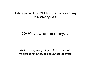#### Understanding how C++ lays out memory is **key** to mastering C++

#### C++'s view on memory…

At it's core, everything in C++ is about manipulating bytes, or sequences of bytes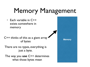# Memory Management

• Each variable in C++ exists somewhere in memory

C++ thinks of this as a giant array **C++** thinks of this as a giant array of bytes

There are no types, everything is just a byte.

The way you **use** C++ determines what those bytes mean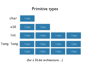### Primitive types



(for a 32-bit architecture…)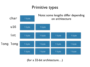#### Primitive types



(for a 32-bit architecture…)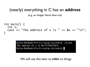### (nearly) everything in C has an **address**

(e.g., an integer literal does not)

```
int main() \{ int x; 
  cout \leq "The address of x is " \lt\lt\& x \lt\ "\n";
}
```
Kyles-MacBook-Pro-2:c++play micinski\$ ./a.out The address of  $x$  is 0x7fff5547347c Kyles-MacBook-Pro-2:c++play micinski\$

We will use this later to **refer** to things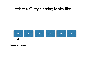#### What a C-style string looks like…

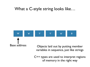### What a C-style string looks like…



Base address **Objects laid out by putting member** variables in sequence, just like strings

> C++ types are used to interpret regions of memory in the right way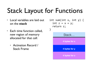# Stack Layout for Functions

- Local variables are laid out on the **stack**
- Each time function called, new region of memory allocated for that call:
	- Activation Record / Stack Frame

```
int sum(int x, int y) {
  int z = x + y;return z;
}
           Stack…
          4 bytes for x
          4 bytes for y
          4 bytes for z
```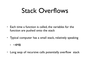## Stack Overflows

- Each time a function is called, the variables for the function are pushed onto the stack
- Typical computer has a small stack, relatively speaking
	- $\cdot$  ~4MB
- Long seqs of recursive calls potentially overflow stack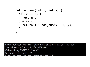```
int bad sum(int x, int y) {
  if (x == 0) {
    return y;
  		}	else	{	
    return 1 + bad sum(x - 1, y);
  		}	
}
```
Kyles-MacBook-Pro-2:c++play micinski\$ g++ ex.cc; ./a.out The address of  $x$  is 0x7fff5d69a47c Calculating 2352322 plus 42 Segmentation fault: 11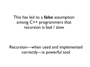### This has led to a **false** assumption among C++ programmers that recursion is bad / slow

Recursion—when used and implemented correctly—is powerful tool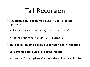## Tail Recursion

- A function is **tail-recursive** if recursive call is the last operation
	- Tail recursive: return sum $(x 1, \text{ acc } + 1)$
	- Not tail recursive: return  $1 + sum(x-1)$
- **Tail-recursion** can be optimized so that it doesn't use stack
- Basic intuition: stack used for **partial results**
	- If you don't do anything after recursive call, no need for that!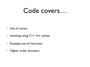### Code covers…

- Use of vector
- Iterating using C++ for syntax
- Example use of recursion
- Higher order functions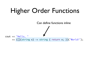# Higher Order Functions

Can define functions inline

cout << "Hello, "  $\prec$  ([](string x) -> string { return x; })("World!");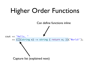

Can define functions inline

cout << "Hello, "  $\prec$  ([](string x) -> string { return x; })("World!");

Capture list (explained next)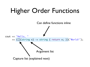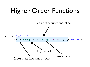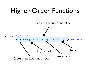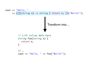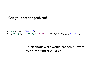Can you spot the problem?

```
string world = "World!";
([](string x) -> string { return x.append(world); })("Hello, ");
```
Think about what would happen if I were to do the foo trick again…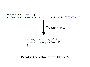

#### **What is the value of world here!?**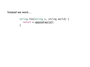Instead we want…

string foo(string x, string world) { return x.append(world); }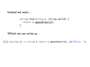Instead we want…

```
string foo(string x, string world) {
  return x.append(world);
}
```
Which we can write as…

( $[$ =] (string x) -> string { return x.append(world); })("Hello, ");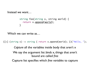Instead we want…

```
string foo(string x, string world) {
  return x.append(world);
}
```
Which we can write as…

( $[-]$  (string x) -> string { return x.append(world); })("Hello, ");

*Capture* all the variables inside body that aren't x We say the argument list *binds* x, things that aren't bound are called *free* Capture list specifies which *free variables* to capture